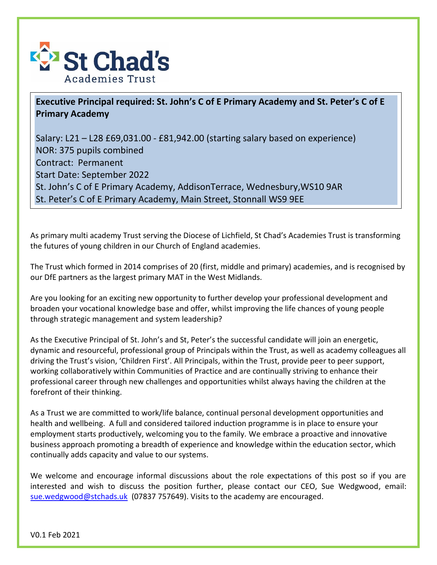

## **Executive Principal required: St. John's C of E Primary Academy and St. Peter's C of E Primary Academy**

Salary: L21 – L28 £69,031.00 - £81,942.00 (starting salary based on experience) NOR: 375 pupils combined Contract: Permanent Start Date: September 2022 St. John's C of E Primary Academy, AddisonTerrace, Wednesbury,WS10 9AR St. Peter's C of E Primary Academy, Main Street, Stonnall WS9 9EE

As primary multi academy Trust serving the Diocese of Lichfield, St Chad's Academies Trust is transforming the futures of young children in our Church of England academies.

The Trust which formed in 2014 comprises of 20 (first, middle and primary) academies, and is recognised by our DfE partners as the largest primary MAT in the West Midlands.

Are you looking for an exciting new opportunity to further develop your professional development and broaden your vocational knowledge base and offer, whilst improving the life chances of young people through strategic management and system leadership?

As the Executive Principal of St. John's and St, Peter's the successful candidate will join an energetic, dynamic and resourceful, professional group of Principals within the Trust, as well as academy colleagues all driving the Trust's vision, 'Children First'. All Principals, within the Trust, provide peer to peer support, working collaboratively within Communities of Practice and are continually striving to enhance their professional career through new challenges and opportunities whilst always having the children at the forefront of their thinking.

As a Trust we are committed to work/life balance, continual personal development opportunities and health and wellbeing. A full and considered tailored induction programme is in place to ensure your employment starts productively, welcoming you to the family. We embrace a proactive and innovative business approach promoting a breadth of experience and knowledge within the education sector, which continually adds capacity and value to our systems.

We welcome and encourage informal discussions about the role expectations of this post so if you are interested and wish to discuss the position further, please contact our CEO, Sue Wedgwood, email: [sue.wedgwood@stchads.uk](mailto:sue.wedgwood@stchads.uk) (07837 757649). Visits to the academy are encouraged.